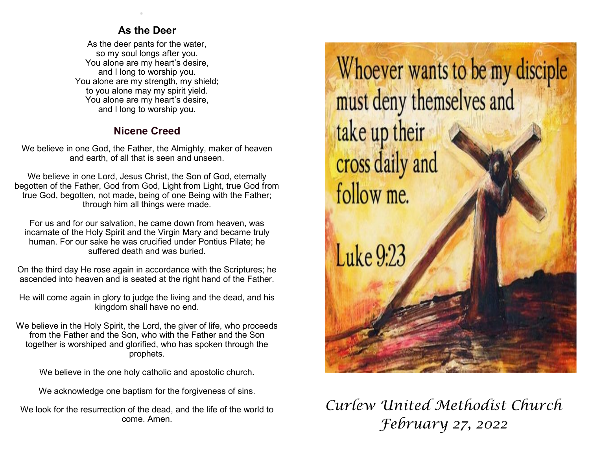#### **As the Deer**

.

As the deer pants for the water, so my soul longs after you. You alone are my heart's desire, and I long to worship you. You alone are my strength, my shield; to you alone may my spirit yield. You alone are my heart's desire, and I long to worship you.

#### **Nicene Creed**

We believe in one God, the Father, the Almighty, maker of heaven and earth, of all that is seen and unseen.

We believe in one Lord, Jesus Christ, the Son of God, eternally begotten of the Father, God from God, Light from Light, true God from true God, begotten, not made, being of one Being with the Father; through him all things were made.

For us and for our salvation, he came down from heaven, was incarnate of the Holy Spirit and the Virgin Mary and became truly human. For our sake he was crucified under Pontius Pilate; he suffered death and was buried.

On the third day He rose again in accordance with the Scriptures; he ascended into heaven and is seated at the right hand of the Father.

He will come again in glory to judge the living and the dead, and his kingdom shall have no end.

We believe in the Holy Spirit, the Lord, the giver of life, who proceeds from the Father and the Son, who with the Father and the Son together is worshiped and glorified, who has spoken through the prophets.

We believe in the one holy catholic and apostolic church.

We acknowledge one baptism for the forgiveness of sins.

We look for the resurrection of the dead, and the life of the world to come. Amen.



# *Curlew United Methodist Church February 27, 2022*